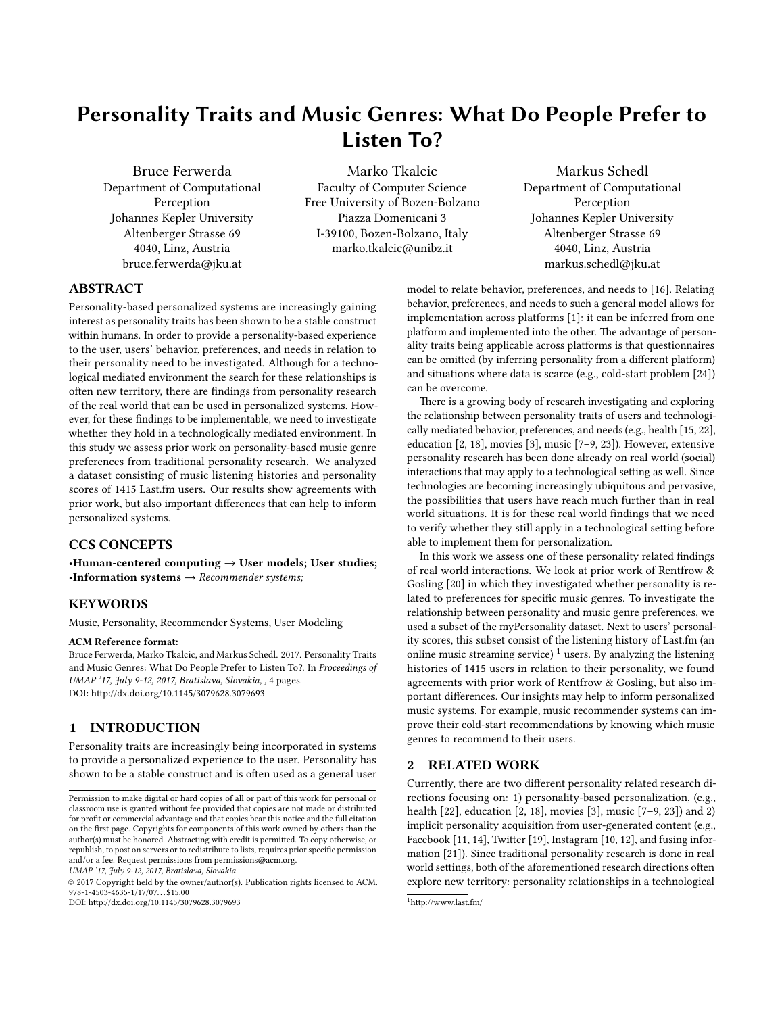# Personality Traits and Music Genres: What Do People Prefer to Listen To?

Bruce Ferwerda Department of Computational Perception Johannes Kepler University Altenberger Strasse 69 4040, Linz, Austria bruce.ferwerda@jku.at

Marko Tkalcic Faculty of Computer Science Free University of Bozen-Bolzano Piazza Domenicani 3 I-39100, Bozen-Bolzano, Italy marko.tkalcic@unibz.it

Markus Schedl Department of Computational Perception Johannes Kepler University Altenberger Strasse 69 4040, Linz, Austria markus.schedl@jku.at

# ABSTRACT

Personality-based personalized systems are increasingly gaining interest as personality traits has been shown to be a stable construct within humans. In order to provide a personality-based experience to the user, users' behavior, preferences, and needs in relation to their personality need to be investigated. Although for a technological mediated environment the search for these relationships is often new territory, there are findings from personality research of the real world that can be used in personalized systems. However, for these findings to be implementable, we need to investigate whether they hold in a technologically mediated environment. In this study we assess prior work on personality-based music genre preferences from traditional personality research. We analyzed a dataset consisting of music listening histories and personality scores of 1415 Last.fm users. Our results show agreements with prior work, but also important differences that can help to inform personalized systems.

## CCS CONCEPTS

•Human-centered computing  $\rightarrow$  User models; User studies; •Information systems  $\rightarrow$  Recommender systems;

# **KEYWORDS**

Music, Personality, Recommender Systems, User Modeling

#### ACM Reference format:

Bruce Ferwerda, Marko Tkalcic, and Markus Schedl. 2017. Personality Traits and Music Genres: What Do People Prefer to Listen To?. In Proceedings of UMAP '17, July 9-12, 2017, Bratislava, Slovakia, , [4](#page-3-0) pages. DOI: http://dx.doi.org/10.1145/3079628.3079693

# 1 INTRODUCTION

Personality traits are increasingly being incorporated in systems to provide a personalized experience to the user. Personality has shown to be a stable construct and is often used as a general user

UMAP '17, July 9-12, 2017, Bratislava, Slovakia

© 2017 Copyright held by the owner/author(s). Publication rights licensed to ACM.  $978 - 1 - 4503 - 4635 - 1/17/07$ .  $\therefore$  \$15.00

DOI: http://dx.doi.org/10.1145/3079628.3079693

model to relate behavior, preferences, and needs to [\[16\]](#page-3-1). Relating behavior, preferences, and needs to such a general model allows for implementation across platforms [\[1\]](#page-3-2): it can be inferred from one platform and implemented into the other. The advantage of personality traits being applicable across platforms is that questionnaires can be omitted (by inferring personality from a different platform) and situations where data is scarce (e.g., cold-start problem [\[24\]](#page-3-3)) can be overcome.

There is a growing body of research investigating and exploring the relationship between personality traits of users and technologically mediated behavior, preferences, and needs (e.g., health [\[15,](#page-3-4) [22\]](#page-3-5), education [\[2,](#page-3-6) [18\]](#page-3-7), movies [\[3\]](#page-3-8), music [\[7–](#page-3-9)[9,](#page-3-10) [23\]](#page-3-11)). However, extensive personality research has been done already on real world (social) interactions that may apply to a technological setting as well. Since technologies are becoming increasingly ubiquitous and pervasive, the possibilities that users have reach much further than in real world situations. It is for these real world findings that we need to verify whether they still apply in a technological setting before able to implement them for personalization.

In this work we assess one of these personality related findings of real world interactions. We look at prior work of Rentfrow & Gosling [\[20\]](#page-3-12) in which they investigated whether personality is related to preferences for specific music genres. To investigate the relationship between personality and music genre preferences, we used a subset of the myPersonality dataset. Next to users' personality scores, this subset consist of the listening history of Last.fm (an online music streaming service)<sup>[1](#page-0-0)</sup> users. By analyzing the listening histories of 1415 users in relation to their personality, we found agreements with prior work of Rentfrow & Gosling, but also important differences. Our insights may help to inform personalized music systems. For example, music recommender systems can improve their cold-start recommendations by knowing which music genres to recommend to their users.

## 2 RELATED WORK

Currently, there are two different personality related research directions focusing on: 1) personality-based personalization, (e.g., health [\[22\]](#page-3-5), education [\[2,](#page-3-6) [18\]](#page-3-7), movies [\[3\]](#page-3-8), music [\[7](#page-3-9)[–9,](#page-3-10) [23\]](#page-3-11)) and 2) implicit personality acquisition from user-generated content (e.g., Facebook [\[11,](#page-3-13) [14\]](#page-3-14), Twitter [\[19\]](#page-3-15), Instagram [\[10,](#page-3-16) [12\]](#page-3-17), and fusing information [\[21\]](#page-3-18)). Since traditional personality research is done in real world settings, both of the aforementioned research directions often explore new territory: personality relationships in a technological

Permission to make digital or hard copies of all or part of this work for personal or classroom use is granted without fee provided that copies are not made or distributed for profit or commercial advantage and that copies bear this notice and the full citation on the first page. Copyrights for components of this work owned by others than the  $\,$ author(s) must be honored. Abstracting with credit is permitted. To copy otherwise, or republish, to post on servers or to redistribute to lists, requires prior specific permission and/or a fee. Request permissions from permissions@acm.org.

<span id="page-0-0"></span><sup>1</sup>hp://www.last.fm/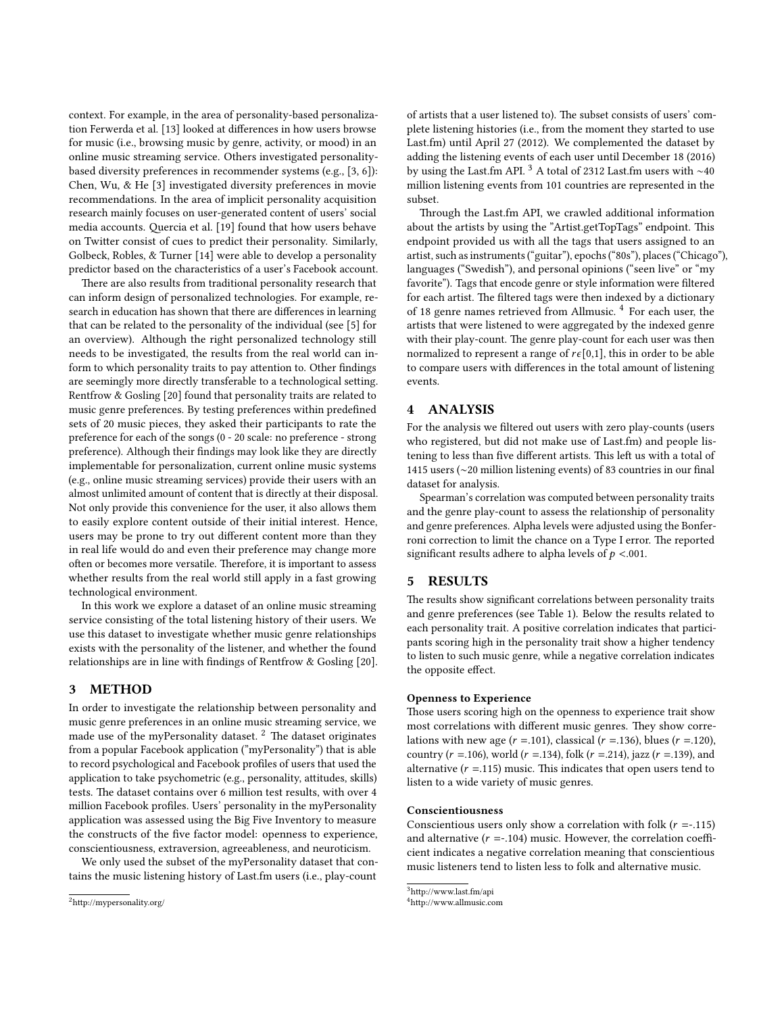context. For example, in the area of personality-based personaliza-tion Ferwerda et al. [\[13\]](#page-3-19) looked at differences in how users browse for music (i.e., browsing music by genre, activity, or mood) in an online music streaming service. Others investigated personalitybased diversity preferences in recommender systems (e.g., [\[3,](#page-3-8) [6\]](#page-3-20)): Chen, Wu, & He [\[3\]](#page-3-8) investigated diversity preferences in movie recommendations. In the area of implicit personality acquisition research mainly focuses on user-generated content of users' social media accounts. Quercia et al. [\[19\]](#page-3-15) found that how users behave on Twitter consist of cues to predict their personality. Similarly, Golbeck, Robles, & Turner [\[14\]](#page-3-14) were able to develop a personality predictor based on the characteristics of a user's Facebook account.

There are also results from traditional personality research that can inform design of personalized technologies. For example, research in education has shown that there are differences in learning that can be related to the personality of the individual (see [\[5\]](#page-3-21) for an overview). Although the right personalized technology still needs to be investigated, the results from the real world can inform to which personality traits to pay attention to. Other findings are seemingly more directly transferable to a technological setting. Rentfrow & Gosling [\[20\]](#page-3-12) found that personality traits are related to music genre preferences. By testing preferences within predefined sets of 20 music pieces, they asked their participants to rate the preference for each of the songs (0 - 20 scale: no preference - strong preference). Although their findings may look like they are directly implementable for personalization, current online music systems (e.g., online music streaming services) provide their users with an almost unlimited amount of content that is directly at their disposal. Not only provide this convenience for the user, it also allows them to easily explore content outside of their initial interest. Hence, users may be prone to try out different content more than they in real life would do and even their preference may change more often or becomes more versatile. Therefore, it is important to assess whether results from the real world still apply in a fast growing technological environment.

In this work we explore a dataset of an online music streaming service consisting of the total listening history of their users. We use this dataset to investigate whether music genre relationships exists with the personality of the listener, and whether the found relationships are in line with findings of Rentfrow & Gosling [\[20\]](#page-3-12).

## 3 METHOD

In order to investigate the relationship between personality and music genre preferences in an online music streaming service, we made use of the myPersonality dataset.<sup>[2](#page-1-0)</sup> The dataset originates from a popular Facebook application ("myPersonality") that is able to record psychological and Facebook profiles of users that used the application to take psychometric (e.g., personality, attitudes, skills) tests. The dataset contains over 6 million test results, with over 4 million Facebook profiles. Users' personality in the myPersonality application was assessed using the Big Five Inventory to measure the constructs of the five factor model: openness to experience, conscientiousness, extraversion, agreeableness, and neuroticism.

We only used the subset of the myPersonality dataset that contains the music listening history of Last.fm users (i.e., play-count

of artists that a user listened to). The subset consists of users' complete listening histories (i.e., from the moment they started to use Last.fm) until April 27 (2012). We complemented the dataset by adding the listening events of each user until December 18 (2016) by using the Last.fm API. [3](#page-1-1) A total of 2312 Last.fm users with ∼40 million listening events from 101 countries are represented in the subset.

Through the Last.fm API, we crawled additional information about the artists by using the "Artist.getTopTags" endpoint. This endpoint provided us with all the tags that users assigned to an artist, such as instruments ("guitar"), epochs ("80s"), places ("Chicago"), languages ("Swedish"), and personal opinions ("seen live" or "my favorite"). Tags that encode genre or style information were filtered for each artist. The filtered tags were then indexed by a dictionary of 18 genre names retrieved from Allmusic. [4](#page-1-2) For each user, the artists that were listened to were aggregated by the indexed genre with their play-count. The genre play-count for each user was then normalized to represent a range of  $r \in [0,1]$ , this in order to be able to compare users with differences in the total amount of listening events.

# 4 ANALYSIS

For the analysis we filtered out users with zero play-counts (users who registered, but did not make use of Last.fm) and people listening to less than five different artists. This left us with a total of 1415 users (∼20 million listening events) of 83 countries in our final dataset for analysis.

Spearman's correlation was computed between personality traits and the genre play-count to assess the relationship of personality and genre preferences. Alpha levels were adjusted using the Bonferroni correction to limit the chance on a Type I error. The reported significant results adhere to alpha levels of  $p < .001$ .

## 5 RESULTS

The results show significant correlations between personality traits and genre preferences (see Table [1\)](#page-2-0). Below the results related to each personality trait. A positive correlation indicates that participants scoring high in the personality trait show a higher tendency to listen to such music genre, while a negative correlation indicates the opposite effect.

#### Openness to Experience

Those users scoring high on the openness to experience trait show most correlations with different music genres. They show correlations with new age  $(r = .101)$ , classical  $(r = .136)$ , blues  $(r = .120)$ , country ( $r = .106$ ), world ( $r = .134$ ), folk ( $r = .214$ ), jazz ( $r = .139$ ), and alternative ( $r = 0.115$ ) music. This indicates that open users tend to listen to a wide variety of music genres.

#### Conscientiousness

Conscientious users only show a correlation with folk  $(r = -115)$ and alternative  $(r = -104)$  music. However, the correlation coefficient indicates a negative correlation meaning that conscientious music listeners tend to listen less to folk and alternative music.

<span id="page-1-0"></span> ${}^{2}$ http://mypersonality.org/

<span id="page-1-1"></span><sup>&</sup>lt;sup>3</sup>http://www.last.fm/api

<span id="page-1-2"></span><sup>4</sup>[hp://www.allmusic.com](http://www.allmusic.com)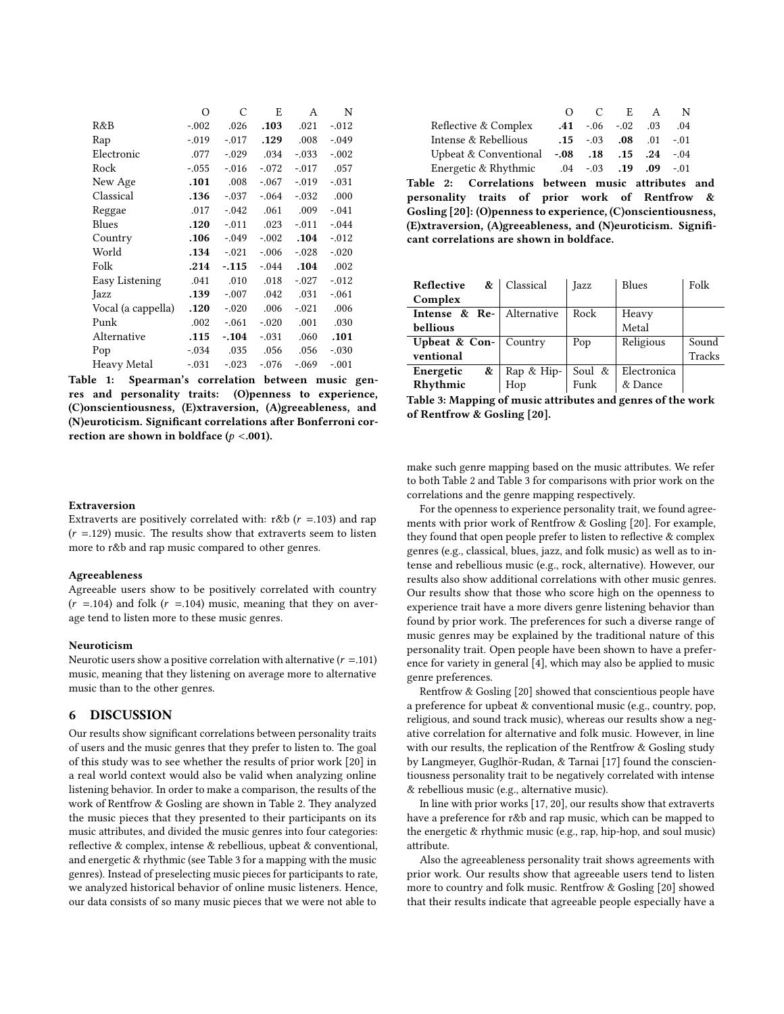<span id="page-2-0"></span>

|                    | O       | C       | E       | A       | N       |
|--------------------|---------|---------|---------|---------|---------|
| R&B                | $-.002$ | .026    | .103    | .021    | $-.012$ |
| Rap                | $-.019$ | $-.017$ | .129    | .008    | $-.049$ |
| Electronic         | .077    | $-.029$ | .034    | $-.033$ | $-.002$ |
| Rock               | $-.055$ | $-.016$ | $-.072$ | $-.017$ | .057    |
| New Age            | .101    | .008    | $-.067$ | $-.019$ | $-.031$ |
| Classical          | .136    | $-.037$ | $-.064$ | $-.032$ | .000    |
| Reggae             | .017    | $-.042$ | .061    | .009    | $-.041$ |
| Blues              | .120    | $-.011$ | .023    | $-.011$ | $-.044$ |
| Country            | .106    | $-.049$ | $-.002$ | .104    | $-.012$ |
| World              | .134    | $-.021$ | $-0.06$ | $-.028$ | $-.020$ |
| Folk               | .214    | -.115   | $-.044$ | .104    | .002    |
| Easy Listening     | .041    | .010    | .018    | $-.027$ | $-.012$ |
| Jazz               | .139    | $-.007$ | .042    | .031    | $-.061$ |
| Vocal (a cappella) | .120    | $-.020$ | .006    | $-.021$ | .006    |
| Punk               | .002    | $-.061$ | $-.020$ | .001    | .030    |
| Alternative        | .115    | $-.104$ | $-.031$ | .060    | .101    |
| Pop                | $-.034$ | .035    | .056    | .056    | $-.030$ |
| Heavy Metal        | $-.031$ | $-.023$ | $-.076$ | $-.069$ | $-.001$ |

Table 1: Spearman's correlation between music genres and personality traits: (O)penness to experience, (C)onscientiousness, (E)xtraversion, (A)greeableness, and (N)euroticism. Significant correlations after Bonferroni correction are shown in boldface ( $p < .001$ ).

#### Extraversion

Extraverts are positively correlated with: r&b ( $r = .103$ ) and rap  $(r = 129)$  music. The results show that extraverts seem to listen more to r&b and rap music compared to other genres.

#### Agreeableness

Agreeable users show to be positively correlated with country  $(r = .104)$  and folk  $(r = .104)$  music, meaning that they on average tend to listen more to these music genres.

#### Neuroticism

Neurotic users show a positive correlation with alternative  $(r = .101)$ music, meaning that they listening on average more to alternative music than to the other genres.

# 6 DISCUSSION

Our results show significant correlations between personality traits of users and the music genres that they prefer to listen to. The goal of this study was to see whether the results of prior work [\[20\]](#page-3-12) in a real world context would also be valid when analyzing online listening behavior. In order to make a comparison, the results of the work of Rentfrow & Gosling are shown in Table [2.](#page-2-1) They analyzed the music pieces that they presented to their participants on its music attributes, and divided the music genres into four categories: reflective & complex, intense & rebellious, upbeat & conventional, and energetic & rhythmic (see Table [3](#page-2-2) for a mapping with the music genres). Instead of preselecting music pieces for participants to rate, we analyzed historical behavior of online music listeners. Hence, our data consists of so many music pieces that we were not able to

<span id="page-2-1"></span>

|                                              | $\Omega$ | $\overline{C}$ | $E_{\perp}$               | A | N           |
|----------------------------------------------|----------|----------------|---------------------------|---|-------------|
| Reflective & Complex                         |          |                | $.41 - .06 - .02$ .03     |   | .04         |
| Intense & Rebellious                         |          |                | $.15 \quad .03 \quad .08$ |   | $.01 - .01$ |
| 04. <b>15. 15. 18. 18. Onventional</b> -.08. |          |                |                           |   |             |
| Energetic & Rhythmic                         |          |                | $.04$ $-.03$ $.19$        |   | $.09 - 01$  |

Table 2: Correlations between music attributes and personality traits of prior work of Rentfrow & Gosling [\[20\]](#page-3-12): (O)penness to experience, (C)onscientiousness, (E)xtraversion, (A)greeableness, and (N)euroticism. Significant correlations are shown in boldface.

<span id="page-2-2"></span>

| &<br>Reflective       | Classical   | Jazz      | Blues       | Folk   |
|-----------------------|-------------|-----------|-------------|--------|
| Complex               |             |           |             |        |
| Intense $\&$ Re-      | Alternative | Rock      | Heavy       |        |
| bellious              |             |           | Metal       |        |
| Upbeat & Con- $\vert$ | Country     | Pop       | Religious   | Sound  |
| ventional             |             |           |             | Tracks |
| &<br>Energetic        | Rap & Hip-  | Soul $\&$ | Electronica |        |
| Rhythmic              | Hop         | Funk      | & Dance     |        |

Table 3: Mapping of music attributes and genres of the work of Rentfrow & Gosling [\[20\]](#page-3-12).

make such genre mapping based on the music attributes. We refer to both Table [2](#page-2-1) and Table [3](#page-2-2) for comparisons with prior work on the correlations and the genre mapping respectively.

For the openness to experience personality trait, we found agreements with prior work of Rentfrow & Gosling [\[20\]](#page-3-12). For example, they found that open people prefer to listen to reflective  $&$  complex genres (e.g., classical, blues, jazz, and folk music) as well as to intense and rebellious music (e.g., rock, alternative). However, our results also show additional correlations with other music genres. Our results show that those who score high on the openness to experience trait have a more divers genre listening behavior than found by prior work. The preferences for such a diverse range of music genres may be explained by the traditional nature of this personality trait. Open people have been shown to have a preference for variety in general [\[4\]](#page-3-22), which may also be applied to music genre preferences.

Rentfrow & Gosling [\[20\]](#page-3-12) showed that conscientious people have a preference for upbeat & conventional music (e.g., country, pop, religious, and sound track music), whereas our results show a negative correlation for alternative and folk music. However, in line with our results, the replication of the Rentfrow & Gosling study by Langmeyer, Guglhör-Rudan, & Tarnai [[17\]](#page-3-23) found the conscientiousness personality trait to be negatively correlated with intense & rebellious music (e.g., alternative music).

In line with prior works [\[17,](#page-3-23) [20\]](#page-3-12), our results show that extraverts have a preference for r&b and rap music, which can be mapped to the energetic & rhythmic music (e.g., rap, hip-hop, and soul music) attribute.

Also the agreeableness personality trait shows agreements with prior work. Our results show that agreeable users tend to listen more to country and folk music. Rentfrow & Gosling [\[20\]](#page-3-12) showed that their results indicate that agreeable people especially have a